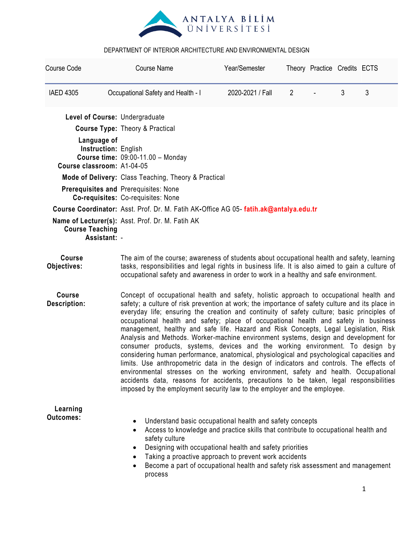

| Course Code                                                       | <b>Course Name</b>                                                                                                                                                                                                                                                                                                                                                                                                                                                                                                                                                                                                                                                                                                                                                                                                                                                                                                                                                                                                                                                                                    | Year/Semester    | Theory Practice Credits ECTS |  |   |   |  |
|-------------------------------------------------------------------|-------------------------------------------------------------------------------------------------------------------------------------------------------------------------------------------------------------------------------------------------------------------------------------------------------------------------------------------------------------------------------------------------------------------------------------------------------------------------------------------------------------------------------------------------------------------------------------------------------------------------------------------------------------------------------------------------------------------------------------------------------------------------------------------------------------------------------------------------------------------------------------------------------------------------------------------------------------------------------------------------------------------------------------------------------------------------------------------------------|------------------|------------------------------|--|---|---|--|
| <b>IAED 4305</b>                                                  | Occupational Safety and Health - I                                                                                                                                                                                                                                                                                                                                                                                                                                                                                                                                                                                                                                                                                                                                                                                                                                                                                                                                                                                                                                                                    | 2020-2021 / Fall | $\overline{2}$               |  | 3 | 3 |  |
| Level of Course: Undergraduate                                    |                                                                                                                                                                                                                                                                                                                                                                                                                                                                                                                                                                                                                                                                                                                                                                                                                                                                                                                                                                                                                                                                                                       |                  |                              |  |   |   |  |
|                                                                   | <b>Course Type: Theory &amp; Practical</b>                                                                                                                                                                                                                                                                                                                                                                                                                                                                                                                                                                                                                                                                                                                                                                                                                                                                                                                                                                                                                                                            |                  |                              |  |   |   |  |
| Language of<br>Instruction: English<br>Course classroom: A1-04-05 | <b>Course time: 09:00-11.00 - Monday</b>                                                                                                                                                                                                                                                                                                                                                                                                                                                                                                                                                                                                                                                                                                                                                                                                                                                                                                                                                                                                                                                              |                  |                              |  |   |   |  |
|                                                                   | Mode of Delivery: Class Teaching, Theory & Practical                                                                                                                                                                                                                                                                                                                                                                                                                                                                                                                                                                                                                                                                                                                                                                                                                                                                                                                                                                                                                                                  |                  |                              |  |   |   |  |
|                                                                   | Prerequisites and Prerequisites: None<br>Co-requisites: Co-requisites: None                                                                                                                                                                                                                                                                                                                                                                                                                                                                                                                                                                                                                                                                                                                                                                                                                                                                                                                                                                                                                           |                  |                              |  |   |   |  |
|                                                                   | Course Coordinator: Asst. Prof. Dr. M. Fatih AK-Office AG 05- fatih.ak@antalya.edu.tr                                                                                                                                                                                                                                                                                                                                                                                                                                                                                                                                                                                                                                                                                                                                                                                                                                                                                                                                                                                                                 |                  |                              |  |   |   |  |
| <b>Course Teaching</b><br>Assistant: -                            | Name of Lecturer(s): Asst. Prof. Dr. M. Fatih AK                                                                                                                                                                                                                                                                                                                                                                                                                                                                                                                                                                                                                                                                                                                                                                                                                                                                                                                                                                                                                                                      |                  |                              |  |   |   |  |
| <b>Course</b><br>Objectives:                                      | The aim of the course; awareness of students about occupational health and safety, learning<br>tasks, responsibilities and legal rights in business life. It is also aimed to gain a culture of<br>occupational safety and awareness in order to work in a healthy and safe environment.                                                                                                                                                                                                                                                                                                                                                                                                                                                                                                                                                                                                                                                                                                                                                                                                              |                  |                              |  |   |   |  |
| <b>Course</b><br><b>Description:</b>                              | Concept of occupational health and safety, holistic approach to occupational health and<br>safety; a culture of risk prevention at work; the importance of safety culture and its place in<br>everyday life; ensuring the creation and continuity of safety culture; basic principles of<br>occupational health and safety; place of occupational health and safety in business<br>management, healthy and safe life. Hazard and Risk Concepts, Legal Legislation, Risk<br>Analysis and Methods. Worker-machine environment systems, design and development for<br>consumer products, systems, devices and the working environment. To design by<br>considering human performance, anatomical, physiological and psychological capacities and<br>limits. Use anthropometric data in the design of indicators and controls. The effects of<br>environmental stresses on the working environment, safety and health. Occupational<br>accidents data, reasons for accidents, precautions to be taken, legal responsibilities<br>imposed by the employment security law to the employer and the employee. |                  |                              |  |   |   |  |
| Learning<br><b>Outcomes:</b>                                      | Understand basic occupational health and safety concepts<br>Access to knowledge and practice skills that contribute to occupational health and<br>Designing with occupational health and safety priorities<br>Taking a proactive approach to prevent work accidents<br>Become a part of occupational health and safety risk assessment and management                                                                                                                                                                                                                                                                                                                                                                                                                                                                                                                                                                                                                                                                                                                                                 |                  |                              |  |   |   |  |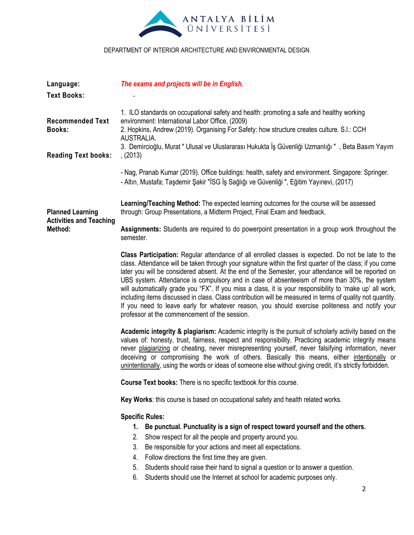

| Language:                                                 | The exams and projects will be in English.                                                                                                                                                                                                                                                                                                                                                                                                                                                                                                                                                                                                                                                                                                                                                          |  |  |  |  |
|-----------------------------------------------------------|-----------------------------------------------------------------------------------------------------------------------------------------------------------------------------------------------------------------------------------------------------------------------------------------------------------------------------------------------------------------------------------------------------------------------------------------------------------------------------------------------------------------------------------------------------------------------------------------------------------------------------------------------------------------------------------------------------------------------------------------------------------------------------------------------------|--|--|--|--|
| <b>Text Books:</b>                                        |                                                                                                                                                                                                                                                                                                                                                                                                                                                                                                                                                                                                                                                                                                                                                                                                     |  |  |  |  |
| <b>Recommended Text</b><br><b>Books:</b>                  | 1. ILO standards on occupational safety and health: promoting a safe and healthy working<br>environment: International Labor Office, (2009)<br>2. Hopkins, Andrew (2019). Organising For Safety: how structure creates culture. S.I.: CCH<br>AUSTRALIA.<br>3. Demircioğlu, Murat " Ulusal ve Uluslararası Hukukta İş Güvenliği Uzmanlığı ", Beta Basım Yayım                                                                                                                                                                                                                                                                                                                                                                                                                                        |  |  |  |  |
| <b>Reading Text books:</b>                                | , (2013)                                                                                                                                                                                                                                                                                                                                                                                                                                                                                                                                                                                                                                                                                                                                                                                            |  |  |  |  |
|                                                           | - Nag, Pranab Kumar (2019). Office buildings: health, safety and environment. Singapore: Springer.<br>- Altın, Mustafa; Taşdemir Şakir "İSG İş Sağlığı ve Güvenliği ", Eğitim Yayınevi, (2017)                                                                                                                                                                                                                                                                                                                                                                                                                                                                                                                                                                                                      |  |  |  |  |
| <b>Planned Learning</b><br><b>Activities and Teaching</b> | Learning/Teaching Method: The expected learning outcomes for the course will be assessed<br>through: Group Presentations, a Midterm Project, Final Exam and feedback.                                                                                                                                                                                                                                                                                                                                                                                                                                                                                                                                                                                                                               |  |  |  |  |
| Method:                                                   | Assignments: Students are required to do powerpoint presentation in a group work throughout the<br>semester.                                                                                                                                                                                                                                                                                                                                                                                                                                                                                                                                                                                                                                                                                        |  |  |  |  |
|                                                           | Class Participation: Regular attendance of all enrolled classes is expected. Do not be late to the<br>class. Attendance will be taken through your signature within the first quarter of the class; if you come<br>later you will be considered absent. At the end of the Semester, your attendance will be reported on<br>UBS system. Attendance is compulsory and in case of absenteeism of more than 30%, the system<br>will automatically grade you "FX". If you miss a class, it is your responsibility to 'make up' all work,<br>including items discussed in class. Class contribution will be measured in terms of quality not quantity.<br>If you need to leave early for whatever reason, you should exercise politeness and notify your<br>professor at the commencement of the session. |  |  |  |  |
|                                                           | <b>Academic integrity &amp; plagiarism:</b> Academic integrity is the pursuit of scholarly activity based on the<br>values of: honesty, trust, fairness, respect and responsibility. Practicing academic integrity means<br>never plagiarizing or cheating, never misrepresenting yourself, never falsifying information, never<br>deceiving or compromising the work of others. Basically this means, either intentionally or<br>unintentionally, using the words or ideas of someone else without giving credit, it's strictly forbidden.                                                                                                                                                                                                                                                         |  |  |  |  |
|                                                           | Course Text books: There is no specific textbook for this course.                                                                                                                                                                                                                                                                                                                                                                                                                                                                                                                                                                                                                                                                                                                                   |  |  |  |  |
|                                                           | Key Works: this course is based on occupational safety and health related works.                                                                                                                                                                                                                                                                                                                                                                                                                                                                                                                                                                                                                                                                                                                    |  |  |  |  |
|                                                           | <b>Specific Rules:</b><br>Be punctual. Punctuality is a sign of respect toward yourself and the others.<br>1.<br>Show respect for all the people and property around you.<br>2.<br>3.<br>Be responsible for your actions and meet all expectations.<br>Follow directions the first time they are given.<br>4.<br>Students should raise their hand to signal a question or to answer a question.<br>5.<br>6.<br>Students should use the Internet at school for academic purposes only.<br>$\overline{2}$                                                                                                                                                                                                                                                                                             |  |  |  |  |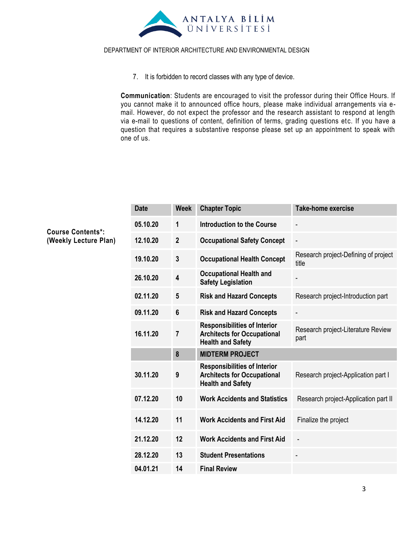

7. It is forbidden to record classes with any type of device.

**Communication**: Students are encouraged to visit the professor during their Office Hours. If you cannot make it to announced office hours, please make individual arrangements via email. However, do not expect the professor and the research assistant to respond at length via e-mail to questions of content, definition of terms, grading questions etc. If you have a question that requires a substantive response please set up an appointment to speak with one of us.

| <b>Date</b> | <b>Week</b>             | <b>Chapter Topic</b>                                                                                  | <b>Take-home exercise</b>                     |  |
|-------------|-------------------------|-------------------------------------------------------------------------------------------------------|-----------------------------------------------|--|
| 05.10.20    | 1                       | <b>Introduction to the Course</b>                                                                     |                                               |  |
| 12.10.20    | $\overline{2}$          | <b>Occupational Safety Concept</b>                                                                    | $\blacksquare$                                |  |
| 19.10.20    | $\mathbf{3}$            | <b>Occupational Health Concept</b>                                                                    | Research project-Defining of project<br>title |  |
| 26.10.20    | $\overline{\mathbf{4}}$ | <b>Occupational Health and</b><br><b>Safety Legislation</b>                                           |                                               |  |
| 02.11.20    | $5\phantom{.0}$         | <b>Risk and Hazard Concepts</b>                                                                       | Research project-Introduction part            |  |
| 09.11.20    | $6\phantom{1}$          | <b>Risk and Hazard Concepts</b>                                                                       |                                               |  |
| 16.11.20    | $\overline{7}$          | <b>Responsibilities of Interior</b><br><b>Architects for Occupational</b><br><b>Health and Safety</b> | Research project-Literature Review<br>part    |  |
|             | 8                       | <b>MIDTERM PROJECT</b>                                                                                |                                               |  |
| 30.11.20    | 9                       | <b>Responsibilities of Interior</b><br><b>Architects for Occupational</b><br><b>Health and Safety</b> | Research project-Application part I           |  |
| 07.12.20    | 10                      | <b>Work Accidents and Statistics</b>                                                                  | Research project-Application part II          |  |
| 14.12.20    | 11                      | <b>Work Accidents and First Aid</b>                                                                   | Finalize the project                          |  |
| 21.12.20    | 12                      | <b>Work Accidents and First Aid</b>                                                                   |                                               |  |
| 28.12.20    | 13                      | <b>Student Presentations</b>                                                                          |                                               |  |
| 04.01.21    | 14                      | <b>Final Review</b>                                                                                   |                                               |  |

**Course Contents\*: (Weekly Lecture Plan)**